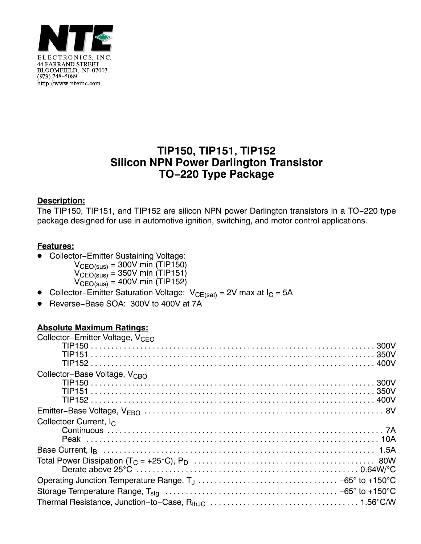

## **TIP150, TIP151, TIP152 Silicon NPN Power Darlington Transistor TO−220 Type Package**

#### **Description:**

The TIP150, TIP151, and TIP152 are silicon NPN power Darlington transistors in a TO−220 type package designed for use in automotive ignition, switching, and motor control applications.

#### **Features:**

- $\bullet$  Collector−Emitter Sustaining Voltage:
	- $V_{\text{CEO(sus)}} = 300V \text{ min (TIP150)}$  $V_{\text{CEO(sus)}}$  = 350V min (TIP151)  $V_{\text{CEO(sus)}}$  = 400V min (TIP152)
- Collector–Emitter Saturation Voltage:  $V_{CE(sat)}$  = 2V max at I<sub>C</sub> = 5A
- -Reverse−Base SOA: 300V to 400V at 7A

### **Absolute Maximum Ratings:**

| Collector-Emitter Voltage, V <sub>CFO</sub> |  |
|---------------------------------------------|--|
|                                             |  |
|                                             |  |
|                                             |  |
| Collector-Base Voltage, V <sub>CBO</sub>    |  |
|                                             |  |
|                                             |  |
|                                             |  |
|                                             |  |
| Collectoer Current, I <sub>C</sub>          |  |
|                                             |  |
|                                             |  |
|                                             |  |
|                                             |  |
|                                             |  |
|                                             |  |
|                                             |  |
|                                             |  |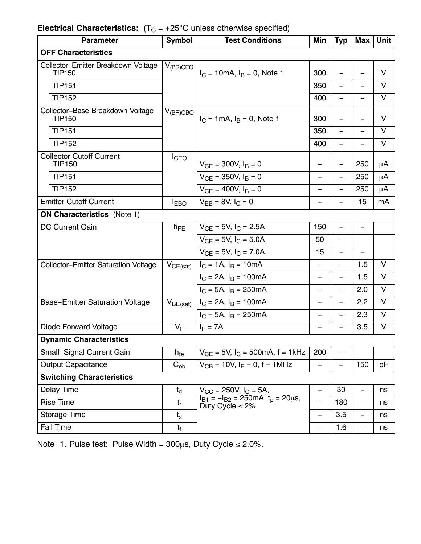# **Electrical Characteristics:**  $(T_C = +25^{\circ}C$  unless otherwise specified)

| <b>Parameter</b>                                     | <b>Symbol</b>     | <b>Test Conditions</b>                                                                                                  | Min                      | <b>Typ</b>               | <b>Max</b>               | Unit   |  |  |
|------------------------------------------------------|-------------------|-------------------------------------------------------------------------------------------------------------------------|--------------------------|--------------------------|--------------------------|--------|--|--|
| <b>OFF Characteristics</b>                           |                   |                                                                                                                         |                          |                          |                          |        |  |  |
| Collector-Emitter Breakdown Voltage<br><b>TIP150</b> | $V_{(BR)CEO}$     | $I_C = 10 \text{mA}, I_B = 0$ , Note 1                                                                                  | 300                      |                          |                          | V      |  |  |
| <b>TIP151</b>                                        |                   |                                                                                                                         | 350                      | $\overline{\phantom{0}}$ | $\overline{\phantom{0}}$ | V      |  |  |
| <b>TIP152</b>                                        |                   |                                                                                                                         | 400                      | $\overline{\phantom{0}}$ | $\qquad \qquad -$        | $\vee$ |  |  |
| Collector-Base Breakdown Voltage<br><b>TIP150</b>    | $V_{(BR)CBO}$     | $I_C = 1 \text{mA}, I_B = 0$ , Note 1                                                                                   | 300                      | $\overline{\phantom{0}}$ | $\overline{\phantom{0}}$ | V      |  |  |
| <b>TIP151</b>                                        |                   |                                                                                                                         | 350                      | $\qquad \qquad -$        | $\qquad \qquad -$        | V      |  |  |
| <b>TIP152</b>                                        |                   |                                                                                                                         | 400                      | $\overline{\phantom{0}}$ | $\overline{\phantom{0}}$ | V      |  |  |
| <b>Collector Cutoff Current</b><br><b>TIP150</b>     | <b>I</b> CEO      | $V_{CE}$ = 300V, $I_B$ = 0                                                                                              | —                        | $\overline{\phantom{0}}$ | 250                      | μA     |  |  |
| <b>TIP151</b>                                        |                   | $V_{CF} = 350V, I_B = 0$                                                                                                | $\overline{\phantom{0}}$ | —                        | 250                      | μA     |  |  |
| <b>TIP152</b>                                        |                   | $V_{CF}$ = 400V, $I_B$ = 0                                                                                              | $\overline{\phantom{0}}$ |                          | 250                      | μA     |  |  |
| <b>Emitter Cutoff Current</b>                        | <b>I</b> EBO      | $V_{FB} = 8V, I_C = 0$                                                                                                  | $\overline{\phantom{0}}$ | $\overline{\phantom{0}}$ | 15                       | mA     |  |  |
| <b>ON Characteristics (Note 1)</b>                   |                   |                                                                                                                         |                          |                          |                          |        |  |  |
| <b>DC Current Gain</b>                               | $h_{FE}$          | $V_{CF}$ = 5V, $I_C$ = 2.5A                                                                                             | 150                      | $\overline{\phantom{0}}$ | $\overline{\phantom{0}}$ |        |  |  |
|                                                      |                   | $V_{CF}$ = 5V, $I_C$ = 5.0A                                                                                             | 50                       | $\overline{\phantom{0}}$ |                          |        |  |  |
|                                                      |                   | $V_{CF}$ = 5V, $I_C$ = 7.0A                                                                                             | 15                       | $\overline{\phantom{0}}$ |                          |        |  |  |
| <b>Collector-Emitter Saturation Voltage</b>          | $V_{CE(sat)}$     | $I_C = 1A$ , $I_B = 10mA$                                                                                               | $\overline{\phantom{0}}$ | $\overline{\phantom{0}}$ | 1.5                      | $\vee$ |  |  |
|                                                      |                   | $I_C = 2A$ , $I_B = 100mA$                                                                                              | —                        | $\overline{\phantom{0}}$ | 1.5                      | $\vee$ |  |  |
|                                                      |                   | $I_C = 5A$ , $I_B = 250mA$                                                                                              | —                        |                          | 2.0                      | $\vee$ |  |  |
| <b>Base-Emitter Saturation Voltage</b>               | $V_{BE(sat)}$     | $I_C = 2A$ , $I_B = 100mA$                                                                                              | —                        | $\overline{\phantom{0}}$ | 2.2                      | $\vee$ |  |  |
|                                                      |                   | $I_C = 5A$ , $I_B = 250mA$                                                                                              | —                        | —                        | 2.3                      | $\vee$ |  |  |
| <b>Diode Forward Voltage</b>                         | $V_F$             | $I_F = 7A$                                                                                                              |                          |                          | 3.5                      | $\vee$ |  |  |
| <b>Dynamic Characteristics</b>                       |                   |                                                                                                                         |                          |                          |                          |        |  |  |
| <b>Small-Signal Current Gain</b>                     | $h_{fe}$          | $V_{CF}$ = 5V, $I_C$ = 500mA, f = 1kHz                                                                                  | 200                      | $\overline{\phantom{0}}$ | $\overline{\phantom{0}}$ |        |  |  |
| <b>Output Capacitance</b>                            | $\mathrm{C_{ob}}$ | $V_{CB}$ = 10V, $I_F$ = 0, f = 1MHz                                                                                     |                          |                          | 150                      | pF     |  |  |
| <b>Switching Characteristics</b>                     |                   |                                                                                                                         |                          |                          |                          |        |  |  |
| Delay Time                                           | $t_d$             | $V_{\rm CC}$ = 250V, I <sub>C</sub> = 5A,<br>$I_{B1} = -I_{B2} = 250$ mA, $t_{D} = 20 \mu s$ ,<br>Duty Cycle $\leq 2\%$ |                          | 30                       | $\qquad \qquad -$        | ns     |  |  |
| <b>Rise Time</b>                                     | $t_{\sf r}$       |                                                                                                                         | $\overline{\phantom{0}}$ | 180                      | $\overline{\phantom{0}}$ | ns     |  |  |
| <b>Storage Time</b>                                  | $t_{s}$           |                                                                                                                         | $\overline{\phantom{0}}$ | 3.5                      | $\overline{\phantom{0}}$ | ns     |  |  |
| <b>Fall Time</b>                                     | $t_{\rm f}$       |                                                                                                                         | $\overline{\phantom{0}}$ | 1.6                      | $\qquad \qquad -$        | ns     |  |  |

Note 1. Pulse test: Pulse Width =  $300\mu$ s, Duty Cycle  $\leq 2.0\%$ .